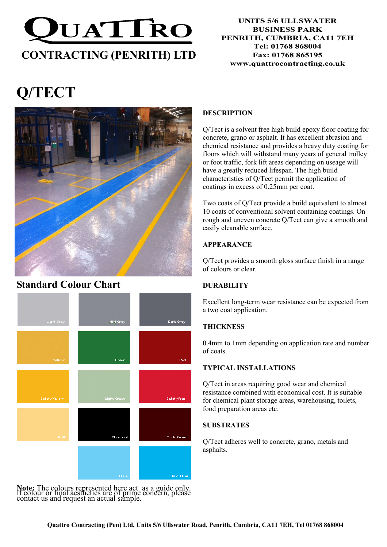

#### UNITS 5/6 ULLSWATER BUSINESS PARK PENRITH, CUMBRIA, CA11 7EH Tel: 01768 868004 Fax: 01768 865195 www.quattrocontracting.co.uk

# Q/TECT



# Standard Colour Chart



Note: The colours represented here act as a guide only. If colour or final aesthetics are of prime concern, please contact us and request an actual sample.

# DESCRIPTION

Q/Tect is a solvent free high build epoxy floor coating for concrete, grano or asphalt. It has excellent abrasion and chemical resistance and provides a heavy duty coating for floors which will withstand many years of general trolley or foot traffic, fork lift areas depending on useage will have a greatly reduced lifespan. The high build characteristics of Q/Tect permit the application of coatings in excess of 0.25mm per coat.

Two coats of Q/Tect provide a build equivalent to almost 10 coats of conventional solvent containing coatings. On rough and uneven concrete Q/Tect can give a smooth and easily cleanable surface.

# APPEARANCE

Q/Tect provides a smooth gloss surface finish in a range of colours or clear.

## **DURABILITY**

Excellent long-term wear resistance can be expected from a two coat application.

## **THICKNESS**

0.4mm to 1mm depending on application rate and number of coats.

## TYPICAL INSTALLATIONS

Q/Tect in areas requiring good wear and chemical resistance combined with economical cost. It is suitable for chemical plant storage areas, warehousing, toilets, food preparation areas etc.

#### **SUBSTRATES**

Q/Tect adheres well to concrete, grano, metals and asphalts.